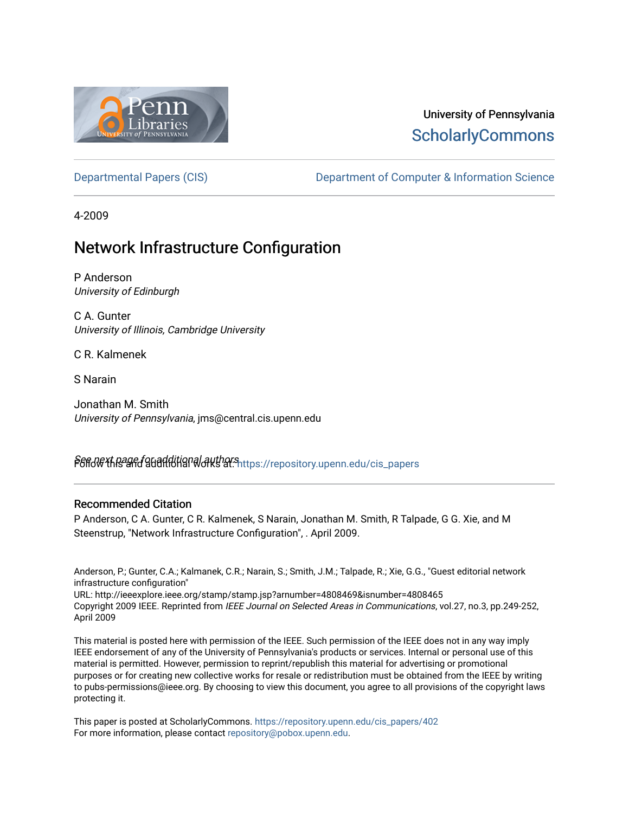

## University of Pennsylvania **ScholarlyCommons**

[Departmental Papers \(CIS\)](https://repository.upenn.edu/cis_papers) [Department of Computer & Information Science](https://repository.upenn.edu/cis) 

4-2009

## Network Infrastructure Configuration

P Anderson University of Edinburgh

C A. Gunter University of Illinois, Cambridge University

C R. Kalmenek

S Narain

Jonathan M. Smith University of Pennsylvania, jms@central.cis.upenn.edu

Sere Next page for additional authors intros://repository.upenn.edu/cis\_papers

#### Recommended Citation

P Anderson, C A. Gunter, C R. Kalmenek, S Narain, Jonathan M. Smith, R Talpade, G G. Xie, and M Steenstrup, "Network Infrastructure Configuration", . April 2009.

Anderson, P.; Gunter, C.A.; Kalmanek, C.R.; Narain, S.; Smith, J.M.; Talpade, R.; Xie, G.G., "Guest editorial network infrastructure configuration"

URL: http://ieeexplore.ieee.org/stamp/stamp.jsp?arnumber=4808469&isnumber=4808465 Copyright 2009 IEEE. Reprinted from IEEE Journal on Selected Areas in Communications, vol.27, no.3, pp.249-252, April 2009

This material is posted here with permission of the IEEE. Such permission of the IEEE does not in any way imply IEEE endorsement of any of the University of Pennsylvania's products or services. Internal or personal use of this material is permitted. However, permission to reprint/republish this material for advertising or promotional purposes or for creating new collective works for resale or redistribution must be obtained from the IEEE by writing to pubs-permissions@ieee.org. By choosing to view this document, you agree to all provisions of the copyright laws protecting it.

This paper is posted at ScholarlyCommons. [https://repository.upenn.edu/cis\\_papers/402](https://repository.upenn.edu/cis_papers/402)  For more information, please contact [repository@pobox.upenn.edu.](mailto:repository@pobox.upenn.edu)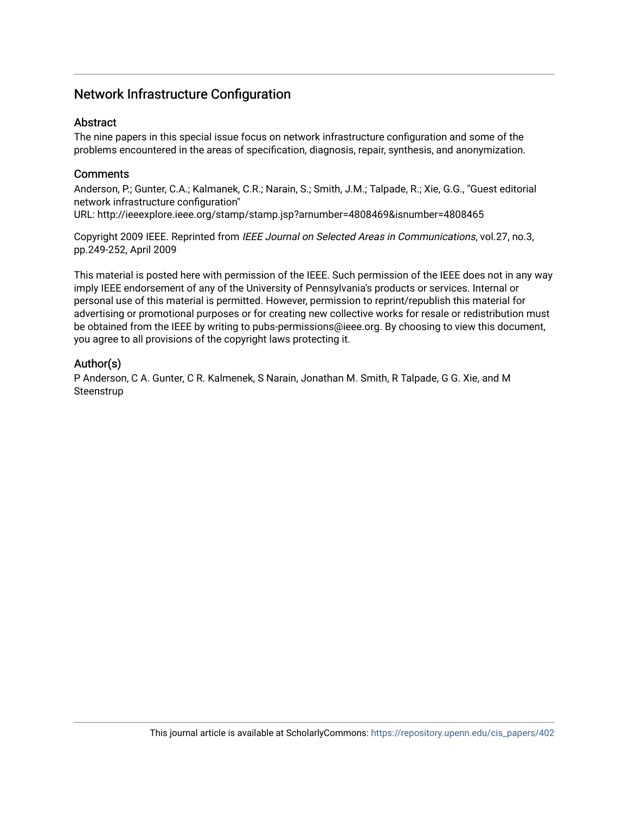### Network Infrastructure Configuration

#### Abstract

The nine papers in this special issue focus on network infrastructure configuration and some of the problems encountered in the areas of specification, diagnosis, repair, synthesis, and anonymization.

#### **Comments**

Anderson, P.; Gunter, C.A.; Kalmanek, C.R.; Narain, S.; Smith, J.M.; Talpade, R.; Xie, G.G., "Guest editorial network infrastructure configuration"

URL: http://ieeexplore.ieee.org/stamp/stamp.jsp?arnumber=4808469&isnumber=4808465

Copyright 2009 IEEE. Reprinted from IEEE Journal on Selected Areas in Communications, vol.27, no.3, pp.249-252, April 2009

This material is posted here with permission of the IEEE. Such permission of the IEEE does not in any way imply IEEE endorsement of any of the University of Pennsylvania's products or services. Internal or personal use of this material is permitted. However, permission to reprint/republish this material for advertising or promotional purposes or for creating new collective works for resale or redistribution must be obtained from the IEEE by writing to pubs-permissions@ieee.org. By choosing to view this document, you agree to all provisions of the copyright laws protecting it.

#### Author(s)

P Anderson, C A. Gunter, C R. Kalmenek, S Narain, Jonathan M. Smith, R Talpade, G G. Xie, and M **Steenstrup**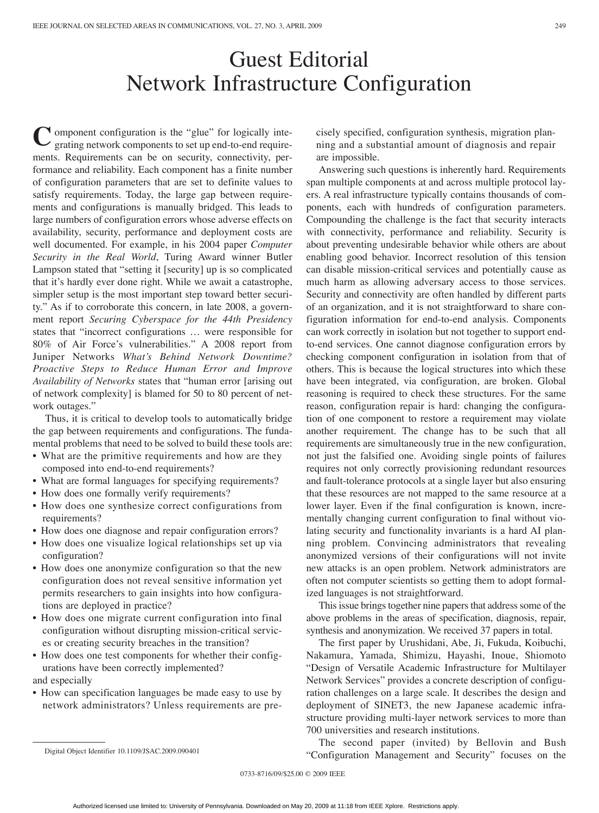# Guest Editorial Network Infrastructure Configuration

**V** omponent configuration is the "glue" for logically inte-Component configuration is the "glue" for logically integrating network components to set up end-to-end requirements. Requirements can be on security, connectivity, performance and reliability. Each component has a finite number of configuration parameters that are set to definite values to satisfy requirements. Today, the large gap between requirements and configurations is manually bridged. This leads to large numbers of configuration errors whose adverse effects on availability, security, performance and deployment costs are well documented. For example, in his 2004 paper *Computer Security in the Real World*, Turing Award winner Butler Lampson stated that "setting it [security] up is so complicated that it's hardly ever done right. While we await a catastrophe, simpler setup is the most important step toward better security." As if to corroborate this concern, in late 2008, a government report *Securing Cyberspace for the 44th Presidency* states that "incorrect configurations … were responsible for 80% of Air Force's vulnerabilities." A 2008 report from Juniper Networks *What's Behind Network Downtime? Proactive Steps to Reduce Human Error and Improve Availability of Networks* states that "human error [arising out of network complexity] is blamed for 50 to 80 percent of network outages."

Thus, it is critical to develop tools to automatically bridge the gap between requirements and configurations. The fundamental problems that need to be solved to build these tools are:

- What are the primitive requirements and how are they composed into end-to-end requirements?
- What are formal languages for specifying requirements?
- How does one formally verify requirements?
- How does one synthesize correct configurations from requirements?
- How does one diagnose and repair configuration errors?
- How does one visualize logical relationships set up via configuration?
- How does one anonymize configuration so that the new configuration does not reveal sensitive information yet permits researchers to gain insights into how configurations are deployed in practice?
- How does one migrate current configuration into final configuration without disrupting mission-critical services or creating security breaches in the transition?
- How does one test components for whether their configurations have been correctly implemented? and especially
- How can specification languages be made easy to use by network administrators? Unless requirements are pre-

cisely specified, configuration synthesis, migration planning and a substantial amount of diagnosis and repair are impossible.

Answering such questions is inherently hard. Requirements span multiple components at and across multiple protocol layers. A real infrastructure typically contains thousands of components, each with hundreds of configuration parameters. Compounding the challenge is the fact that security interacts with connectivity, performance and reliability. Security is about preventing undesirable behavior while others are about enabling good behavior. Incorrect resolution of this tension can disable mission-critical services and potentially cause as much harm as allowing adversary access to those services. Security and connectivity are often handled by different parts of an organization, and it is not straightforward to share configuration information for end-to-end analysis. Components can work correctly in isolation but not together to support endto-end services. One cannot diagnose configuration errors by checking component configuration in isolation from that of others. This is because the logical structures into which these have been integrated, via configuration, are broken. Global reasoning is required to check these structures. For the same reason, configuration repair is hard: changing the configuration of one component to restore a requirement may violate another requirement. The change has to be such that all requirements are simultaneously true in the new configuration, not just the falsified one. Avoiding single points of failures requires not only correctly provisioning redundant resources and fault-tolerance protocols at a single layer but also ensuring that these resources are not mapped to the same resource at a lower layer. Even if the final configuration is known, incrementally changing current configuration to final without violating security and functionality invariants is a hard AI planning problem. Convincing administrators that revealing anonymized versions of their configurations will not invite new attacks is an open problem. Network administrators are often not computer scientists so getting them to adopt formalized languages is not straightforward.

This issue brings together nine papers that address some of the above problems in the areas of specification, diagnosis, repair, synthesis and anonymization. We received 37 papers in total.

The first paper by Urushidani, Abe, Ji, Fukuda, Koibuchi, Nakamura, Yamada, Shimizu, Hayashi, Inoue, Shiomoto "Design of Versatile Academic Infrastructure for Multilayer Network Services" provides a concrete description of configuration challenges on a large scale. It describes the design and deployment of SINET3, the new Japanese academic infrastructure providing multi-layer network services to more than 700 universities and research institutions.

The second paper (invited) by Bellovin and Bush "Configuration Management and Security" focuses on the

0733-8716/09/\$25.00 © 2009 IEEE

Digital Object Identifier 10.1109/JSAC.2009.090401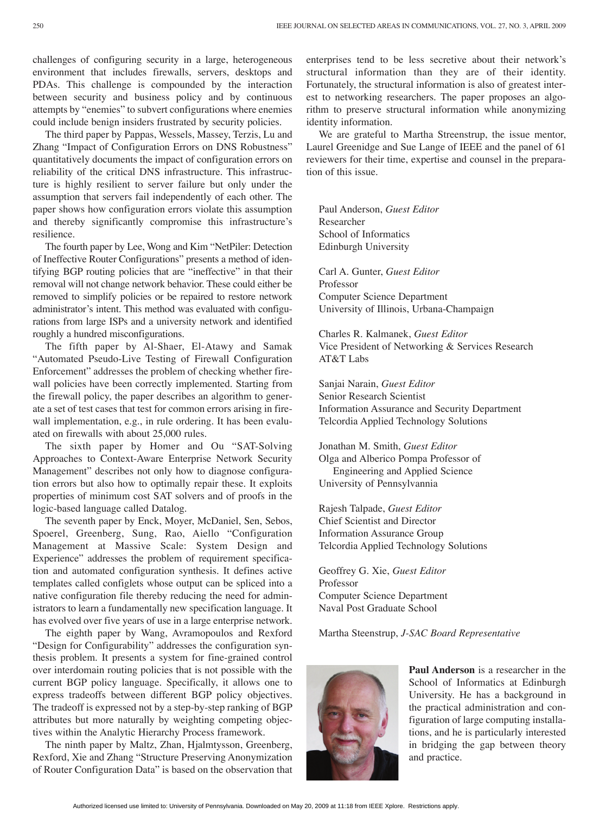challenges of configuring security in a large, heterogeneous environment that includes firewalls, servers, desktops and PDAs. This challenge is compounded by the interaction between security and business policy and by continuous attempts by "enemies" to subvert configurations where enemies could include benign insiders frustrated by security policies.

The third paper by Pappas, Wessels, Massey, Terzis, Lu and Zhang "Impact of Configuration Errors on DNS Robustness" quantitatively documents the impact of configuration errors on reliability of the critical DNS infrastructure. This infrastructure is highly resilient to server failure but only under the assumption that servers fail independently of each other. The paper shows how configuration errors violate this assumption and thereby significantly compromise this infrastructure's resilience.

The fourth paper by Lee, Wong and Kim "NetPiler: Detection of Ineffective Router Configurations" presents a method of identifying BGP routing policies that are "ineffective" in that their removal will not change network behavior. These could either be removed to simplify policies or be repaired to restore network administrator's intent. This method was evaluated with configurations from large ISPs and a university network and identified roughly a hundred misconfigurations.

The fifth paper by Al-Shaer, El-Atawy and Samak "Automated Pseudo-Live Testing of Firewall Configuration Enforcement" addresses the problem of checking whether firewall policies have been correctly implemented. Starting from the firewall policy, the paper describes an algorithm to generate a set of test cases that test for common errors arising in firewall implementation, e.g., in rule ordering. It has been evaluated on firewalls with about 25,000 rules.

The sixth paper by Homer and Ou "SAT-Solving Approaches to Context-Aware Enterprise Network Security Management" describes not only how to diagnose configuration errors but also how to optimally repair these. It exploits properties of minimum cost SAT solvers and of proofs in the logic-based language called Datalog.

The seventh paper by Enck, Moyer, McDaniel, Sen, Sebos, Spoerel, Greenberg, Sung, Rao, Aiello "Configuration Management at Massive Scale: System Design and Experience" addresses the problem of requirement specification and automated configuration synthesis. It defines active templates called configlets whose output can be spliced into a native configuration file thereby reducing the need for administrators to learn a fundamentally new specification language. It has evolved over five years of use in a large enterprise network.

The eighth paper by Wang, Avramopoulos and Rexford "Design for Configurability" addresses the configuration synthesis problem. It presents a system for fine-grained control over interdomain routing policies that is not possible with the current BGP policy language. Specifically, it allows one to express tradeoffs between different BGP policy objectives. The tradeoff is expressed not by a step-by-step ranking of BGP attributes but more naturally by weighting competing objectives within the Analytic Hierarchy Process framework.

The ninth paper by Maltz, Zhan, Hjalmtysson, Greenberg, Rexford, Xie and Zhang "Structure Preserving Anonymization of Router Configuration Data" is based on the observation that

enterprises tend to be less secretive about their network's structural information than they are of their identity. Fortunately, the structural information is also of greatest interest to networking researchers. The paper proposes an algorithm to preserve structural information while anonymizing identity information.

We are grateful to Martha Streenstrup, the issue mentor, Laurel Greenidge and Sue Lange of IEEE and the panel of 61 reviewers for their time, expertise and counsel in the preparation of this issue.

Paul Anderson, *Guest Editor* Researcher School of Informatics Edinburgh University

Carl A. Gunter, *Guest Editor* Professor Computer Science Department University of Illinois, Urbana-Champaign

Charles R. Kalmanek, *Guest Editor* Vice President of Networking & Services Research AT&T Labs

Sanjai Narain, *Guest Editor* Senior Research Scientist Information Assurance and Security Department Telcordia Applied Technology Solutions

Jonathan M. Smith, *Guest Editor* Olga and Alberico Pompa Professor of Engineering and Applied Science University of Pennsylvannia

Rajesh Talpade, *Guest Editor* Chief Scientist and Director Information Assurance Group Telcordia Applied Technology Solutions

Geoffrey G. Xie, *Guest Editor* Professor Computer Science Department Naval Post Graduate School

Martha Steenstrup, *J-SAC Board Representative*



**Paul Anderson** is a researcher in the School of Informatics at Edinburgh University. He has a background in the practical administration and configuration of large computing installations, and he is particularly interested in bridging the gap between theory and practice.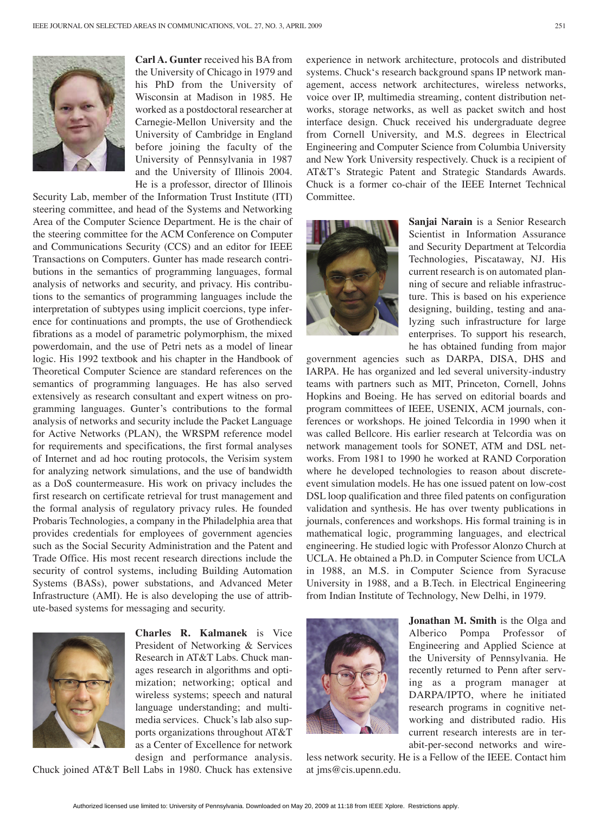

**Carl A. Gunter** received his BA from the University of Chicago in 1979 and his PhD from the University of Wisconsin at Madison in 1985. He worked as a postdoctoral researcher at Carnegie-Mellon University and the University of Cambridge in England before joining the faculty of the University of Pennsylvania in 1987 and the University of Illinois 2004. He is a professor, director of Illinois

Security Lab, member of the Information Trust Institute (ITI) steering committee, and head of the Systems and Networking Area of the Computer Science Department. He is the chair of the steering committee for the ACM Conference on Computer and Communications Security (CCS) and an editor for IEEE Transactions on Computers. Gunter has made research contributions in the semantics of programming languages, formal analysis of networks and security, and privacy. His contributions to the semantics of programming languages include the interpretation of subtypes using implicit coercions, type inference for continuations and prompts, the use of Grothendieck fibrations as a model of parametric polymorphism, the mixed powerdomain, and the use of Petri nets as a model of linear logic. His 1992 textbook and his chapter in the Handbook of Theoretical Computer Science are standard references on the semantics of programming languages. He has also served extensively as research consultant and expert witness on programming languages. Gunter's contributions to the formal analysis of networks and security include the Packet Language for Active Networks (PLAN), the WRSPM reference model for requirements and specifications, the first formal analyses of Internet and ad hoc routing protocols, the Verisim system for analyzing network simulations, and the use of bandwidth as a DoS countermeasure. His work on privacy includes the first research on certificate retrieval for trust management and the formal analysis of regulatory privacy rules. He founded Probaris Technologies, a company in the Philadelphia area that provides credentials for employees of government agencies such as the Social Security Administration and the Patent and Trade Office. His most recent research directions include the security of control systems, including Building Automation Systems (BASs), power substations, and Advanced Meter Infrastructure (AMI). He is also developing the use of attribute-based systems for messaging and security.



**Charles R. Kalmanek** is Vice President of Networking & Services Research in AT&T Labs. Chuck manages research in algorithms and optimization; networking; optical and wireless systems; speech and natural language understanding; and multimedia services. Chuck's lab also supports organizations throughout AT&T as a Center of Excellence for network design and performance analysis.

Chuck joined AT&T Bell Labs in 1980. Chuck has extensive

experience in network architecture, protocols and distributed systems. Chuck's research background spans IP network management, access network architectures, wireless networks, voice over IP, multimedia streaming, content distribution networks, storage networks, as well as packet switch and host interface design. Chuck received his undergraduate degree from Cornell University, and M.S. degrees in Electrical Engineering and Computer Science from Columbia University and New York University respectively. Chuck is a recipient of AT&T's Strategic Patent and Strategic Standards Awards. Chuck is a former co-chair of the IEEE Internet Technical Committee.



**Sanjai Narain** is a Senior Research Scientist in Information Assurance and Security Department at Telcordia Technologies, Piscataway, NJ. His current research is on automated planning of secure and reliable infrastructure. This is based on his experience designing, building, testing and analyzing such infrastructure for large enterprises. To support his research, he has obtained funding from major

government agencies such as DARPA, DISA, DHS and IARPA. He has organized and led several university-industry teams with partners such as MIT, Princeton, Cornell, Johns Hopkins and Boeing. He has served on editorial boards and program committees of IEEE, USENIX, ACM journals, conferences or workshops. He joined Telcordia in 1990 when it was called Bellcore. His earlier research at Telcordia was on network management tools for SONET, ATM and DSL networks. From 1981 to 1990 he worked at RAND Corporation where he developed technologies to reason about discreteevent simulation models. He has one issued patent on low-cost DSL loop qualification and three filed patents on configuration validation and synthesis. He has over twenty publications in journals, conferences and workshops. His formal training is in mathematical logic, programming languages, and electrical engineering. He studied logic with Professor Alonzo Church at UCLA. He obtained a Ph.D. in Computer Science from UCLA in 1988, an M.S. in Computer Science from Syracuse University in 1988, and a B.Tech. in Electrical Engineering from Indian Institute of Technology, New Delhi, in 1979.



**Jonathan M. Smith** is the Olga and Alberico Pompa Professor of Engineering and Applied Science at the University of Pennsylvania. He recently returned to Penn after serving as a program manager at DARPA/IPTO, where he initiated research programs in cognitive networking and distributed radio. His current research interests are in terabit-per-second networks and wire-

less network security. He is a Fellow of the IEEE. Contact him at jms@cis.upenn.edu.